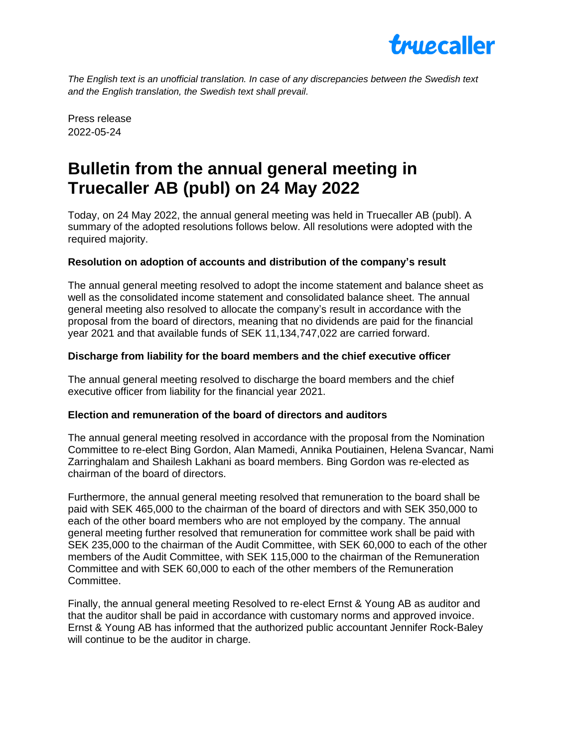

*The English text is an unofficial translation. In case of any discrepancies between the Swedish text and the English translation, the Swedish text shall prevail.*

Press release 2022-05-24

# **Bulletin from the annual general meeting in Truecaller AB (publ) on 24 May 2022**

Today, on 24 May 2022, the annual general meeting was held in Truecaller AB (publ). A summary of the adopted resolutions follows below. All resolutions were adopted with the required majority.

## **Resolution on adoption of accounts and distribution of the company's result**

The annual general meeting resolved to adopt the income statement and balance sheet as well as the consolidated income statement and consolidated balance sheet. The annual general meeting also resolved to allocate the company's result in accordance with the proposal from the board of directors, meaning that no dividends are paid for the financial year 2021 and that available funds of SEK 11,134,747,022 are carried forward.

#### **Discharge from liability for the board members and the chief executive officer**

The annual general meeting resolved to discharge the board members and the chief executive officer from liability for the financial year 2021.

## **Election and remuneration of the board of directors and auditors**

The annual general meeting resolved in accordance with the proposal from the Nomination Committee to re-elect Bing Gordon, Alan Mamedi, Annika Poutiainen, Helena Svancar, Nami Zarringhalam and Shailesh Lakhani as board members. Bing Gordon was re-elected as chairman of the board of directors.

Furthermore, the annual general meeting resolved that remuneration to the board shall be paid with SEK 465,000 to the chairman of the board of directors and with SEK 350,000 to each of the other board members who are not employed by the company. The annual general meeting further resolved that remuneration for committee work shall be paid with SEK 235,000 to the chairman of the Audit Committee, with SEK 60,000 to each of the other members of the Audit Committee, with SEK 115,000 to the chairman of the Remuneration Committee and with SEK 60,000 to each of the other members of the Remuneration Committee.

Finally, the annual general meeting Resolved to re-elect Ernst & Young AB as auditor and that the auditor shall be paid in accordance with customary norms and approved invoice. Ernst & Young AB has informed that the authorized public accountant Jennifer Rock-Baley will continue to be the auditor in charge.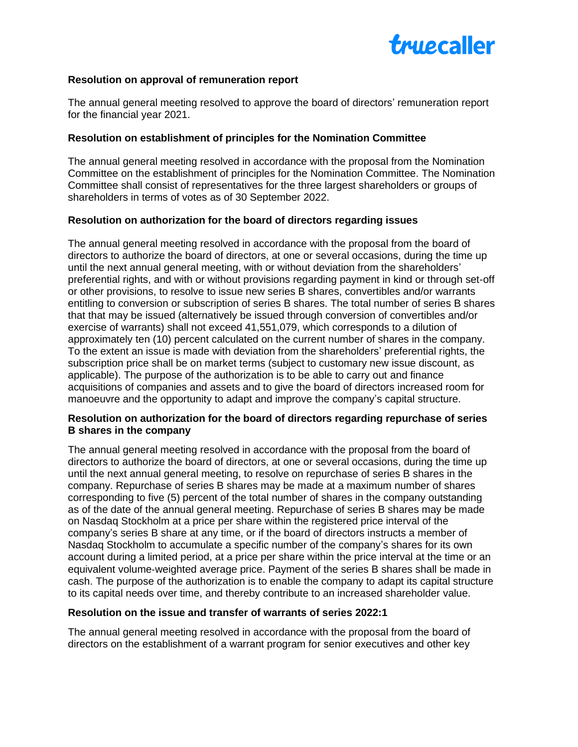

## **Resolution on approval of remuneration report**

The annual general meeting resolved to approve the board of directors' remuneration report for the financial year 2021.

#### **Resolution on establishment of principles for the Nomination Committee**

The annual general meeting resolved in accordance with the proposal from the Nomination Committee on the establishment of principles for the Nomination Committee. The Nomination Committee shall consist of representatives for the three largest shareholders or groups of shareholders in terms of votes as of 30 September 2022.

## **Resolution on authorization for the board of directors regarding issues**

The annual general meeting resolved in accordance with the proposal from the board of directors to authorize the board of directors, at one or several occasions, during the time up until the next annual general meeting, with or without deviation from the shareholders' preferential rights, and with or without provisions regarding payment in kind or through set-off or other provisions, to resolve to issue new series B shares, convertibles and/or warrants entitling to conversion or subscription of series B shares. The total number of series B shares that that may be issued (alternatively be issued through conversion of convertibles and/or exercise of warrants) shall not exceed 41,551,079, which corresponds to a dilution of approximately ten (10) percent calculated on the current number of shares in the company. To the extent an issue is made with deviation from the shareholders' preferential rights, the subscription price shall be on market terms (subject to customary new issue discount, as applicable). The purpose of the authorization is to be able to carry out and finance acquisitions of companies and assets and to give the board of directors increased room for manoeuvre and the opportunity to adapt and improve the company's capital structure.

## **Resolution on authorization for the board of directors regarding repurchase of series B shares in the company**

The annual general meeting resolved in accordance with the proposal from the board of directors to authorize the board of directors, at one or several occasions, during the time up until the next annual general meeting, to resolve on repurchase of series B shares in the company. Repurchase of series B shares may be made at a maximum number of shares corresponding to five (5) percent of the total number of shares in the company outstanding as of the date of the annual general meeting. Repurchase of series B shares may be made on Nasdaq Stockholm at a price per share within the registered price interval of the company's series B share at any time, or if the board of directors instructs a member of Nasdaq Stockholm to accumulate a specific number of the company's shares for its own account during a limited period, at a price per share within the price interval at the time or an equivalent volume‐weighted average price. Payment of the series B shares shall be made in cash. The purpose of the authorization is to enable the company to adapt its capital structure to its capital needs over time, and thereby contribute to an increased shareholder value.

#### **Resolution on the issue and transfer of warrants of series 2022:1**

The annual general meeting resolved in accordance with the proposal from the board of directors on the establishment of a warrant program for senior executives and other key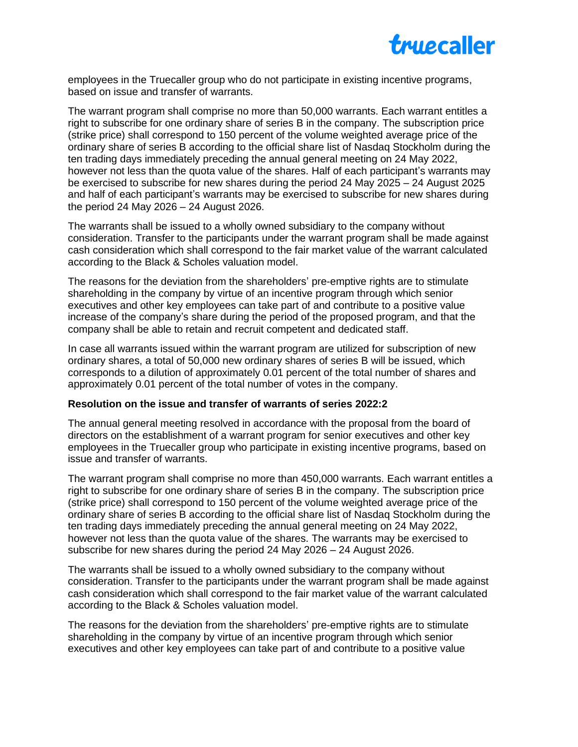

employees in the Truecaller group who do not participate in existing incentive programs, based on issue and transfer of warrants.

The warrant program shall comprise no more than 50,000 warrants. Each warrant entitles a right to subscribe for one ordinary share of series B in the company. The subscription price (strike price) shall correspond to 150 percent of the volume weighted average price of the ordinary share of series B according to the official share list of Nasdaq Stockholm during the ten trading days immediately preceding the annual general meeting on 24 May 2022, however not less than the quota value of the shares. Half of each participant's warrants may be exercised to subscribe for new shares during the period 24 May 2025 – 24 August 2025 and half of each participant's warrants may be exercised to subscribe for new shares during the period 24 May 2026 – 24 August 2026.

The warrants shall be issued to a wholly owned subsidiary to the company without consideration. Transfer to the participants under the warrant program shall be made against cash consideration which shall correspond to the fair market value of the warrant calculated according to the Black & Scholes valuation model.

The reasons for the deviation from the shareholders' pre-emptive rights are to stimulate shareholding in the company by virtue of an incentive program through which senior executives and other key employees can take part of and contribute to a positive value increase of the company's share during the period of the proposed program, and that the company shall be able to retain and recruit competent and dedicated staff.

In case all warrants issued within the warrant program are utilized for subscription of new ordinary shares, a total of 50,000 new ordinary shares of series B will be issued, which corresponds to a dilution of approximately 0.01 percent of the total number of shares and approximately 0.01 percent of the total number of votes in the company.

#### **Resolution on the issue and transfer of warrants of series 2022:2**

The annual general meeting resolved in accordance with the proposal from the board of directors on the establishment of a warrant program for senior executives and other key employees in the Truecaller group who participate in existing incentive programs, based on issue and transfer of warrants.

The warrant program shall comprise no more than 450,000 warrants. Each warrant entitles a right to subscribe for one ordinary share of series B in the company. The subscription price (strike price) shall correspond to 150 percent of the volume weighted average price of the ordinary share of series B according to the official share list of Nasdaq Stockholm during the ten trading days immediately preceding the annual general meeting on 24 May 2022, however not less than the quota value of the shares. The warrants may be exercised to subscribe for new shares during the period 24 May 2026 – 24 August 2026.

The warrants shall be issued to a wholly owned subsidiary to the company without consideration. Transfer to the participants under the warrant program shall be made against cash consideration which shall correspond to the fair market value of the warrant calculated according to the Black & Scholes valuation model.

The reasons for the deviation from the shareholders' pre-emptive rights are to stimulate shareholding in the company by virtue of an incentive program through which senior executives and other key employees can take part of and contribute to a positive value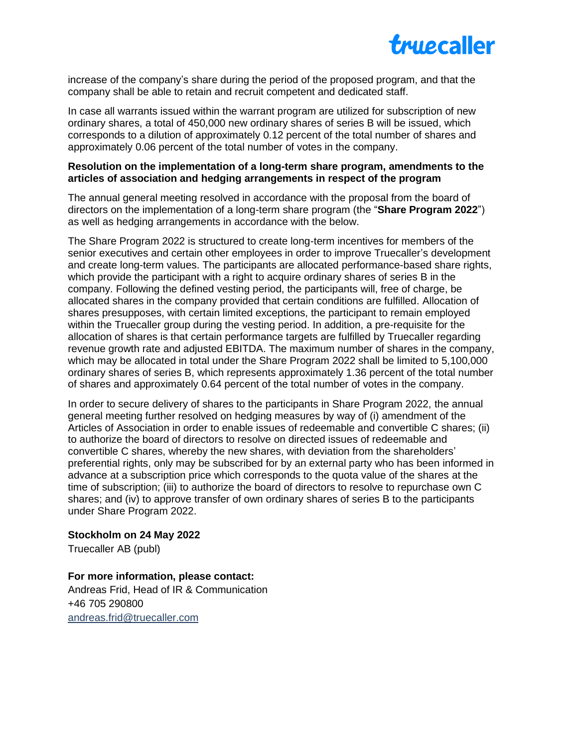

increase of the company's share during the period of the proposed program, and that the company shall be able to retain and recruit competent and dedicated staff.

In case all warrants issued within the warrant program are utilized for subscription of new ordinary shares, a total of 450,000 new ordinary shares of series B will be issued, which corresponds to a dilution of approximately 0.12 percent of the total number of shares and approximately 0.06 percent of the total number of votes in the company.

## **Resolution on the implementation of a long-term share program, amendments to the articles of association and hedging arrangements in respect of the program**

The annual general meeting resolved in accordance with the proposal from the board of directors on the implementation of a long-term share program (the "**Share Program 2022**") as well as hedging arrangements in accordance with the below.

The Share Program 2022 is structured to create long-term incentives for members of the senior executives and certain other employees in order to improve Truecaller's development and create long-term values. The participants are allocated performance-based share rights, which provide the participant with a right to acquire ordinary shares of series B in the company. Following the defined vesting period, the participants will, free of charge, be allocated shares in the company provided that certain conditions are fulfilled. Allocation of shares presupposes, with certain limited exceptions, the participant to remain employed within the Truecaller group during the vesting period. In addition, a pre-requisite for the allocation of shares is that certain performance targets are fulfilled by Truecaller regarding revenue growth rate and adjusted EBITDA. The maximum number of shares in the company, which may be allocated in total under the Share Program 2022 shall be limited to 5,100,000 ordinary shares of series B, which represents approximately 1.36 percent of the total number of shares and approximately 0.64 percent of the total number of votes in the company.

In order to secure delivery of shares to the participants in Share Program 2022, the annual general meeting further resolved on hedging measures by way of (i) amendment of the Articles of Association in order to enable issues of redeemable and convertible C shares; (ii) to authorize the board of directors to resolve on directed issues of redeemable and convertible C shares, whereby the new shares, with deviation from the shareholders' preferential rights, only may be subscribed for by an external party who has been informed in advance at a subscription price which corresponds to the quota value of the shares at the time of subscription; (iii) to authorize the board of directors to resolve to repurchase own C shares; and (iv) to approve transfer of own ordinary shares of series B to the participants under Share Program 2022.

# **Stockholm on 24 May 2022**

Truecaller AB (publ)

**For more information, please contact:** Andreas Frid, Head of IR & Communication +46 705 290800 andreas.fri[d@truecaller.com](mailto:annika.billberg@truecaller.com)